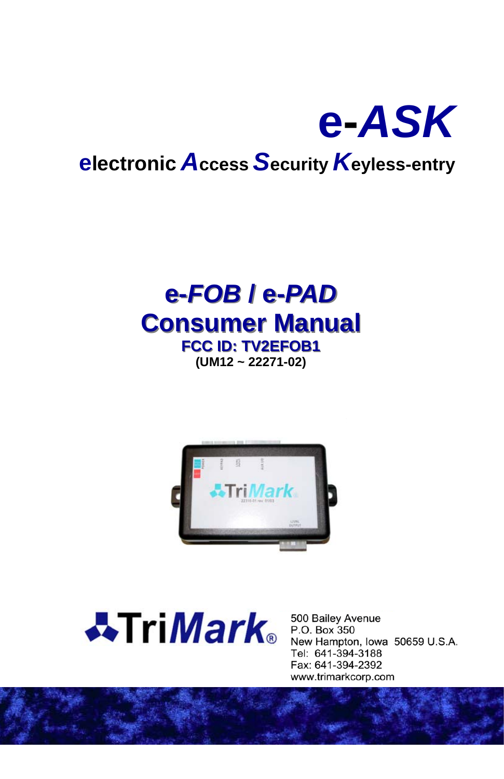

# e-FOB / e-PAD **Consumer Manual FCC ID: TV2EFOB1**  $(UM12 - 22271-02)$





500 Bailey Avenue P.O. Box 350 New Hampton, Iowa 50659 U.S.A. Tel: 641-394-3188 Fax: 641-394-2392 www.trimarkcorp.com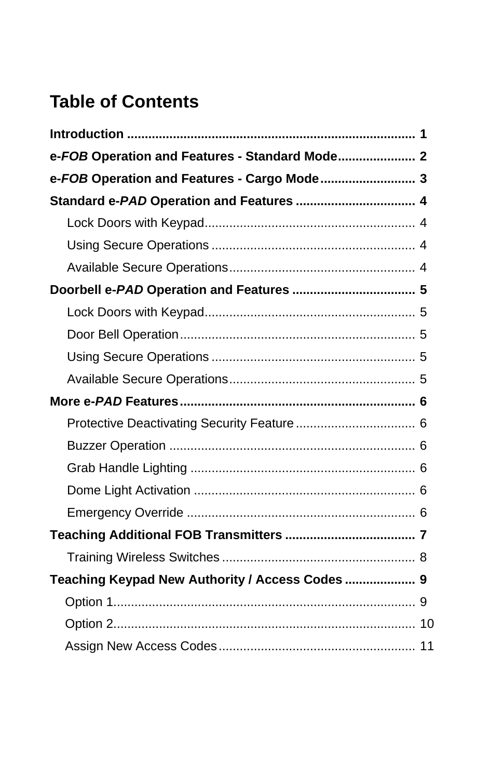# **Table of Contents**

| e-FOB Operation and Features - Standard Mode 2  |
|-------------------------------------------------|
| e-FOB Operation and Features - Cargo Mode 3     |
| Standard e-PAD Operation and Features  4        |
|                                                 |
|                                                 |
|                                                 |
|                                                 |
|                                                 |
|                                                 |
|                                                 |
|                                                 |
|                                                 |
|                                                 |
|                                                 |
|                                                 |
|                                                 |
|                                                 |
|                                                 |
|                                                 |
| Teaching Keypad New Authority / Access Codes  9 |
|                                                 |
|                                                 |
|                                                 |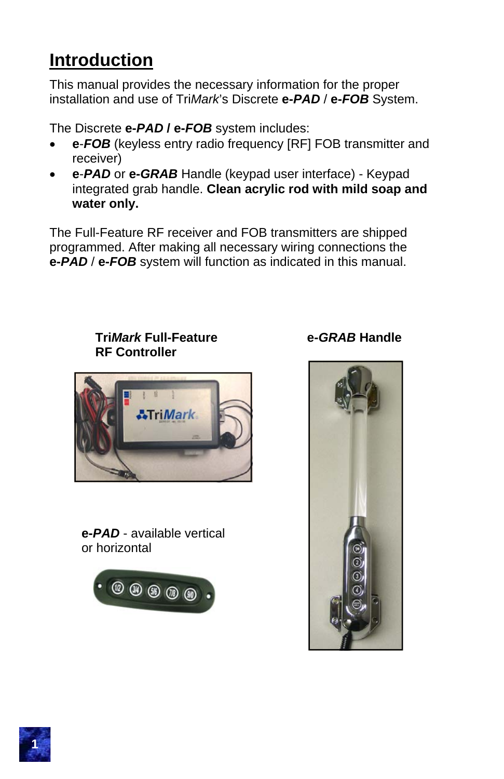# **Introduction**

This manual provides the necessary information for the proper installation and use of Tri*Mark*'s Discrete **e-***PAD* / **e-***FOB* System.

The Discrete **e-***PAD* **/ e-***FOB* system includes:

- **e**-*FOB* (keyless entry radio frequency [RF] FOB transmitter and receiver)
- **e**-*PAD* or **e-***GRAB* Handle (keypad user interface) Keypad integrated grab handle. **Clean acrylic rod with mild soap and water only.**

The Full-Feature RF receiver and FOB transmitters are shipped programmed. After making all necessary wiring connections the **e-***PAD* / **e-***FOB* system will function as indicated in this manual.



**Tri***Mark* **Full-Feature** 

**RF Controller**

**e-***PAD* - available vertical or horizontal



**e-***GRAB* **Handle**



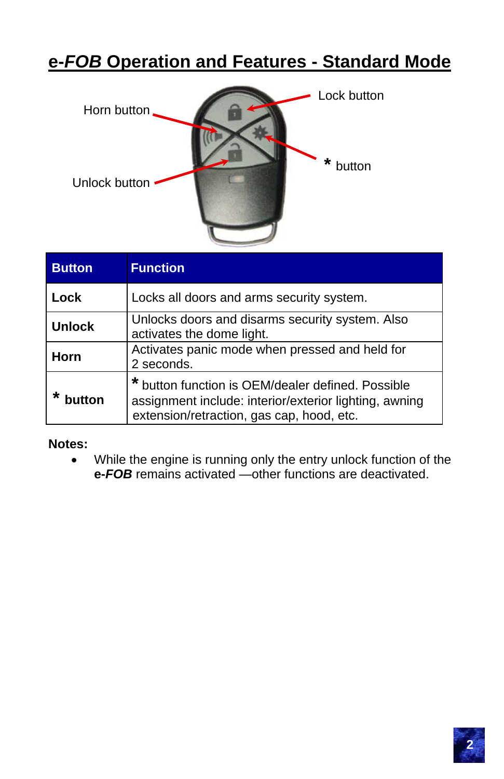# **e-***FOB* **Operation and Features - Standard Mode**



| <b>Button</b> | <b>Function</b>                                                                                                                                        |
|---------------|--------------------------------------------------------------------------------------------------------------------------------------------------------|
| Lock          | Locks all doors and arms security system.                                                                                                              |
| <b>Unlock</b> | Unlocks doors and disarms security system. Also<br>activates the dome light.                                                                           |
| Horn          | Activates panic mode when pressed and held for<br>2 seconds.                                                                                           |
| hutton        | button function is OEM/dealer defined. Possible<br>assignment include: interior/exterior lighting, awning<br>extension/retraction, gas cap, hood, etc. |

#### **Notes:**

 While the engine is running only the entry unlock function of the **e-***FOB* remains activated —other functions are deactivated.

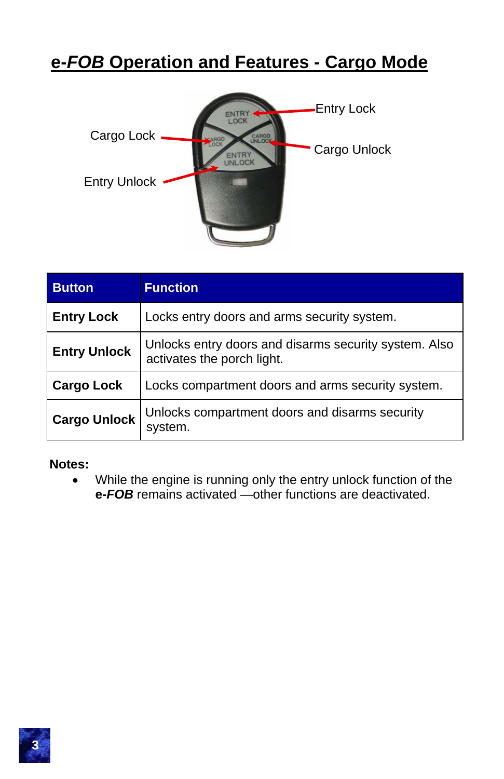# **e-***FOB* **Operation and Features - Cargo Mode**



| <b>Button</b>       | <b>Function</b>                                                                     |
|---------------------|-------------------------------------------------------------------------------------|
| <b>Entry Lock</b>   | Locks entry doors and arms security system.                                         |
| <b>Entry Unlock</b> | Unlocks entry doors and disarms security system. Also<br>activates the porch light. |
| <b>Cargo Lock</b>   | Locks compartment doors and arms security system.                                   |
| <b>Cargo Unlock</b> | Unlocks compartment doors and disarms security<br>system.                           |

**Notes:** 

 While the engine is running only the entry unlock function of the **e-***FOB* remains activated —other functions are deactivated.

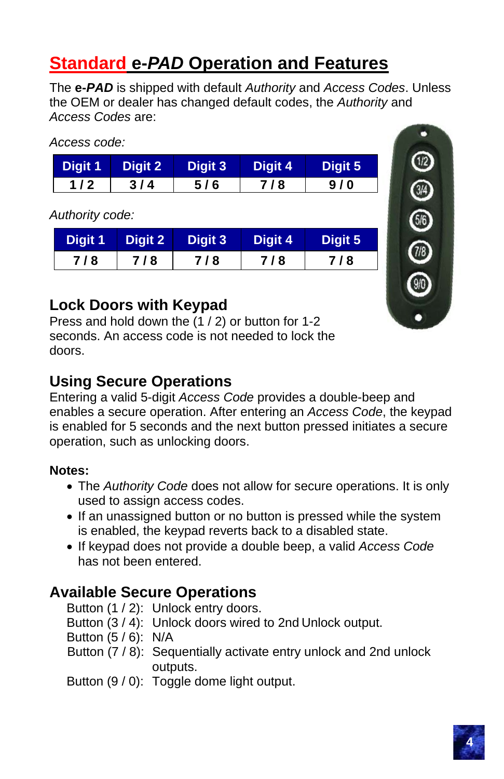# **Standard e-***PAD* **Operation and Features**

The **e-***PAD* is shipped with default *Authority* and *Access Codes*. Unless the OEM or dealer has changed default codes, the *Authority* and *Access Codes* are:

*Access code:* 

| Digit 1 | Digit 2 | Digit 3 | Digit 4 | Digit 5 |
|---------|---------|---------|---------|---------|
| 1/2     | 3/4     | 5/6     | 718     | 9/0     |

*Authority code:* 

|     |     | Digit 1 Digit 2 Digit 3 | Digit 4 | Digit 5 |
|-----|-----|-------------------------|---------|---------|
| 7/8 | 7/8 | 718                     | 718     | 718     |

## **Lock Doors with Keypad**

Press and hold down the (1 / 2) or button for 1-2 seconds. An access code is not needed to lock the doors.

## **Using Secure Operations**

Entering a valid 5-digit *Access Code* provides a double-beep and enables a secure operation. After entering an *Access Code*, the keypad is enabled for 5 seconds and the next button pressed initiates a secure operation, such as unlocking doors.

### **Notes:**

- The *Authority Code* does not allow for secure operations. It is only used to assign access codes.
- If an unassigned button or no button is pressed while the system is enabled, the keypad reverts back to a disabled state.
- If keypad does not provide a double beep, a valid *Access Code*  has not been entered.

# **Available Secure Operations**

- Button (1 / 2): Unlock entry doors.
- Button (3 / 4): Unlock doors wired to 2nd Unlock output.
- Button (5 / 6): N/A
- Button (7 / 8): Sequentially activate entry unlock and 2nd unlock outputs.
- Button (9 / 0): Toggle dome light output.

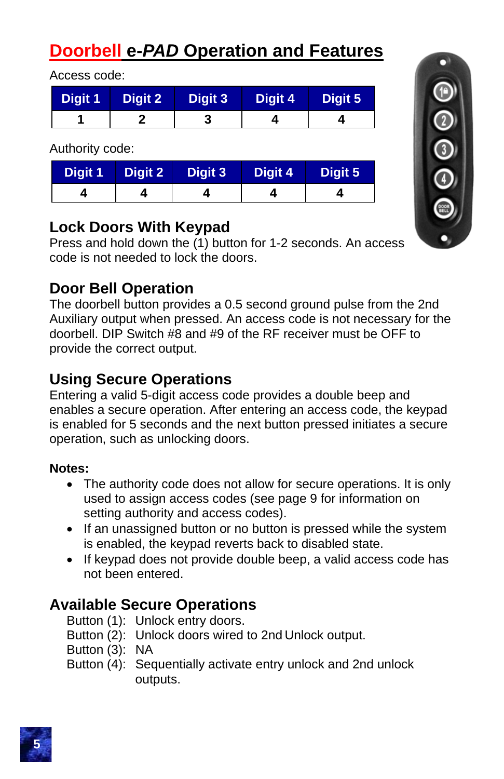# **Doorbell e-***PAD* **Operation and Features**

Access code:

| Digit 1 | Digit 2 | Digit 3 | Digit 4 | <b>Digit 5</b> |
|---------|---------|---------|---------|----------------|
|         |         |         |         |                |

Authority code:

|  | Digit 1   Digit 2   Digit 3 | Digit 4 Digit 5 |  |
|--|-----------------------------|-----------------|--|
|  |                             |                 |  |

## **Lock Doors With Keypad**

Press and hold down the (1) button for 1-2 seconds. An access code is not needed to lock the doors.

# **Door Bell Operation**

The doorbell button provides a 0.5 second ground pulse from the 2nd Auxiliary output when pressed. An access code is not necessary for the doorbell. DIP Switch #8 and #9 of the RF receiver must be OFF to provide the correct output.

# **Using Secure Operations**

Entering a valid 5-digit access code provides a double beep and enables a secure operation. After entering an access code, the keypad is enabled for 5 seconds and the next button pressed initiates a secure operation, such as unlocking doors.

### **Notes:**

- The authority code does not allow for secure operations. It is only used to assign access codes (see page 9 for information on setting authority and access codes).
- If an unassigned button or no button is pressed while the system is enabled, the keypad reverts back to disabled state.
- If keypad does not provide double beep, a valid access code has not been entered.

# **Available Secure Operations**

- Button (1): Unlock entry doors.
- Button (2): Unlock doors wired to 2nd Unlock output.
- Button (3): NA
- Button (4): Sequentially activate entry unlock and 2nd unlock outputs.



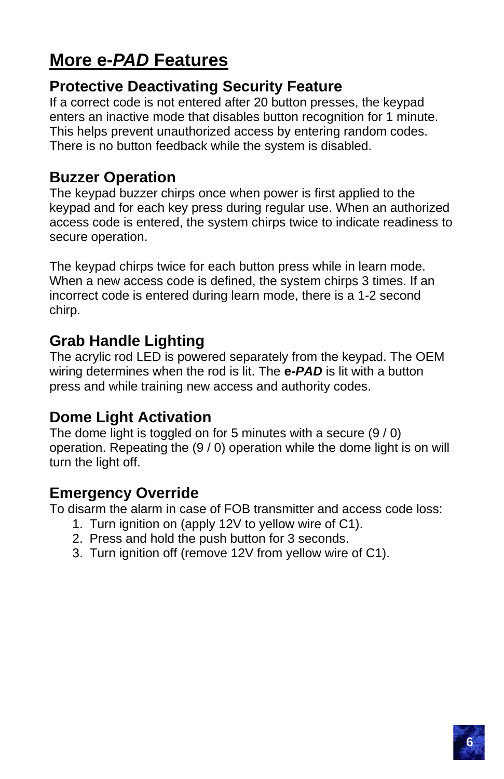# **More e-***PAD* **Features**

## **Protective Deactivating Security Feature**

If a correct code is not entered after 20 button presses, the keypad enters an inactive mode that disables button recognition for 1 minute. This helps prevent unauthorized access by entering random codes. There is no button feedback while the system is disabled.

### **Buzzer Operation**

The keypad buzzer chirps once when power is first applied to the keypad and for each key press during regular use. When an authorized access code is entered, the system chirps twice to indicate readiness to secure operation.

The keypad chirps twice for each button press while in learn mode. When a new access code is defined, the system chirps 3 times. If an incorrect code is entered during learn mode, there is a 1-2 second chirp.

### **Grab Handle Lighting**

The acrylic rod LED is powered separately from the keypad. The OEM wiring determines when the rod is lit. The **e-***PAD* is lit with a button press and while training new access and authority codes.

### **Dome Light Activation**

The dome light is toggled on for 5 minutes with a secure (9 / 0) operation. Repeating the (9 / 0) operation while the dome light is on will turn the light off.

### **Emergency Override**

To disarm the alarm in case of FOB transmitter and access code loss:

- 1. Turn ignition on (apply 12V to yellow wire of C1).
- 2. Press and hold the push button for 3 seconds.
- 3. Turn ignition off (remove 12V from yellow wire of C1).

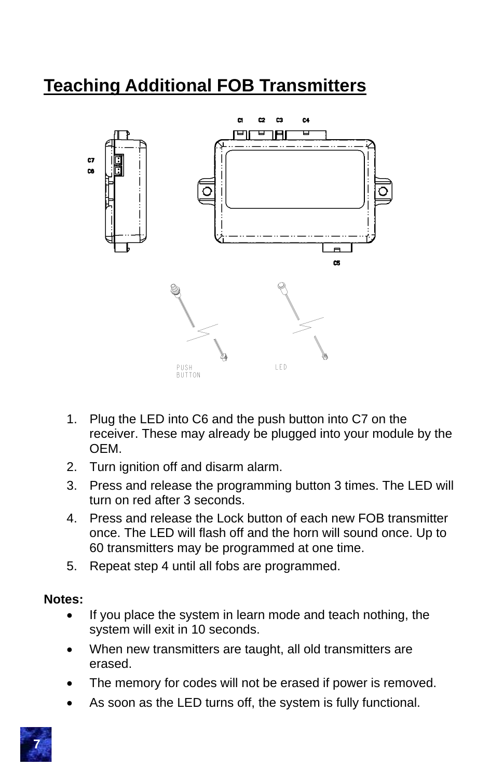# **Teaching Additional FOB Transmitters**



- 1. Plug the LED into C6 and the push button into C7 on the receiver. These may already be plugged into your module by the OEM.
- 2. Turn ignition off and disarm alarm.
- 3. Press and release the programming button 3 times. The LED will turn on red after 3 seconds.
- 4. Press and release the Lock button of each new FOB transmitter once. The LED will flash off and the horn will sound once. Up to 60 transmitters may be programmed at one time.
- 5. Repeat step 4 until all fobs are programmed.

#### **Notes:**

- If you place the system in learn mode and teach nothing, the system will exit in 10 seconds.
- When new transmitters are taught, all old transmitters are erased.
- The memory for codes will not be erased if power is removed.
- As soon as the LED turns off, the system is fully functional.

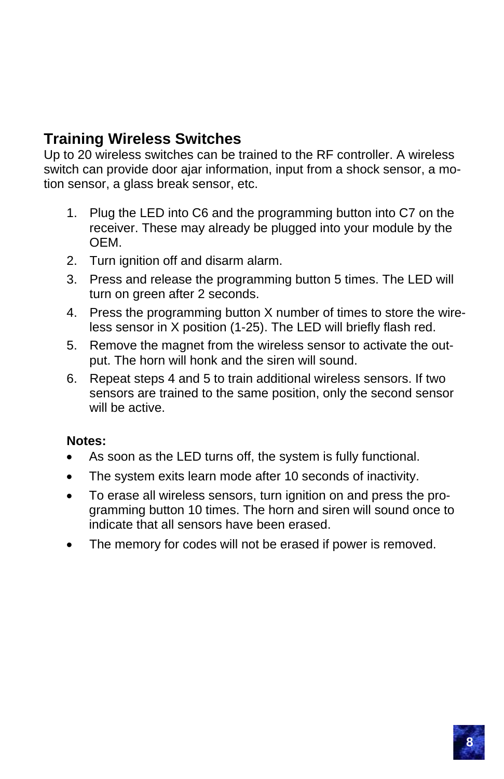## **Training Wireless Switches**

Up to 20 wireless switches can be trained to the RF controller. A wireless switch can provide door ajar information, input from a shock sensor, a motion sensor, a glass break sensor, etc.

- 1. Plug the LED into C6 and the programming button into C7 on the receiver. These may already be plugged into your module by the OEM.
- 2. Turn ignition off and disarm alarm.
- 3. Press and release the programming button 5 times. The LED will turn on green after 2 seconds.
- 4. Press the programming button X number of times to store the wireless sensor in X position (1-25). The LED will briefly flash red.
- 5. Remove the magnet from the wireless sensor to activate the output. The horn will honk and the siren will sound.
- 6. Repeat steps 4 and 5 to train additional wireless sensors. If two sensors are trained to the same position, only the second sensor will be active.

#### **Notes:**

- As soon as the LED turns off, the system is fully functional.
- The system exits learn mode after 10 seconds of inactivity.
- To erase all wireless sensors, turn ignition on and press the programming button 10 times. The horn and siren will sound once to indicate that all sensors have been erased.
- The memory for codes will not be erased if power is removed.

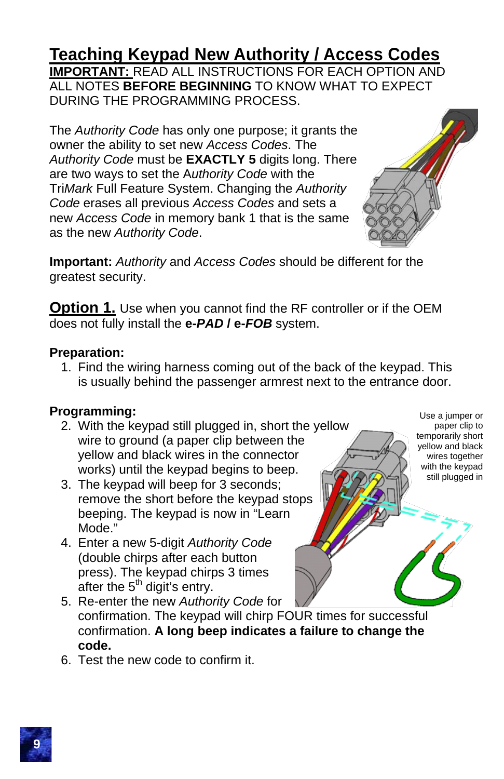# **Teaching Keypad New Authority / Access Codes**

**IMPORTANT:** READ ALL INSTRUCTIONS FOR EACH OPTION AND ALL NOTES **BEFORE BEGINNING** TO KNOW WHAT TO EXPECT DURING THE PROGRAMMING PROCESS.

The *Authority Code* has only one purpose; it grants the owner the ability to set new *Access Codes*. The *Authority Code* must be **EXACTLY 5** digits long. There are two ways to set the A*uthority Code* with the Tri*Mark* Full Feature System. Changing the *Authority Code* erases all previous *Access Codes* and sets a new *Access Code* in memory bank 1 that is the same as the new *Authority Code*.



**Important:** *Authority* and *Access Codes* should be different for the greatest security.

**Option 1.** Use when you cannot find the RF controller or if the OEM does not fully install the **e-***PAD* **/ e-***FOB* system.

#### **Preparation:**

1. Find the wiring harness coming out of the back of the keypad. This is usually behind the passenger armrest next to the entrance door.

#### **Programming:**

- 2. With the keypad still plugged in, short the yellow wire to ground (a paper clip between the yellow and black wires in the connector works) until the keypad begins to beep.
- 3. The keypad will beep for 3 seconds; remove the short before the keypad stops beeping. The keypad is now in "Learn Mode."
- 4. Enter a new 5-digit *Authority Code* (double chirps after each button press). The keypad chirps 3 times after the  $5<sup>th</sup>$  digit's entry.
- 5. Re-enter the new *Authority Code* for confirmation. The keypad will chirp FOUR times for successful confirmation. **A long beep indicates a failure to change the code.**
- 6. Test the new code to confirm it.



Use a jumper or paper clip to temporarily short yellow and black wires together with the keypad still plugged in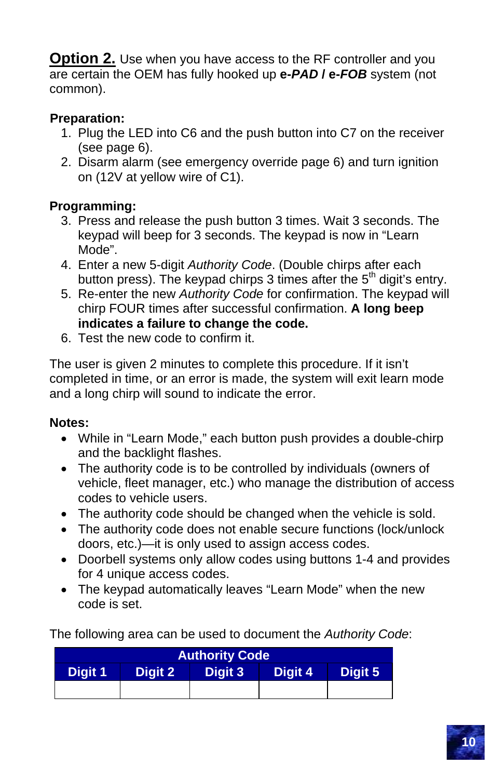**Option 2.** Use when you have access to the RF controller and you are certain the OEM has fully hooked up **e-***PAD* **/ e-***FOB* system (not common).

#### **Preparation:**

- 1. Plug the LED into C6 and the push button into C7 on the receiver (see page 6).
- 2. Disarm alarm (see emergency override page 6) and turn ignition on (12V at yellow wire of C1).

#### **Programming:**

- 3. Press and release the push button 3 times. Wait 3 seconds. The keypad will beep for 3 seconds. The keypad is now in "Learn Mode".
- 4. Enter a new 5-digit *Authority Code*. (Double chirps after each button press). The keypad chirps 3 times after the  $5<sup>th</sup>$  digit's entry.
- 5. Re-enter the new *Authority Code* for confirmation. The keypad will chirp FOUR times after successful confirmation. **A long beep indicates a failure to change the code.**
- 6. Test the new code to confirm it.

The user is given 2 minutes to complete this procedure. If it isn't completed in time, or an error is made, the system will exit learn mode and a long chirp will sound to indicate the error.

#### **Notes:**

- While in "Learn Mode," each button push provides a double-chirp and the backlight flashes.
- The authority code is to be controlled by individuals (owners of vehicle, fleet manager, etc.) who manage the distribution of access codes to vehicle users.
- The authority code should be changed when the vehicle is sold.
- The authority code does not enable secure functions (lock/unlock doors, etc.)—it is only used to assign access codes.
- Doorbell systems only allow codes using buttons 1-4 and provides for 4 unique access codes.
- The keypad automatically leaves "Learn Mode" when the new code is set.

The following area can be used to document the *Authority Code*:

| <b>Authority Code</b>                                             |  |  |  |  |
|-------------------------------------------------------------------|--|--|--|--|
| <b>Digit 1</b><br><b>Digit 2</b><br>Digit 4<br>Digit 3<br>Digit 5 |  |  |  |  |
|                                                                   |  |  |  |  |

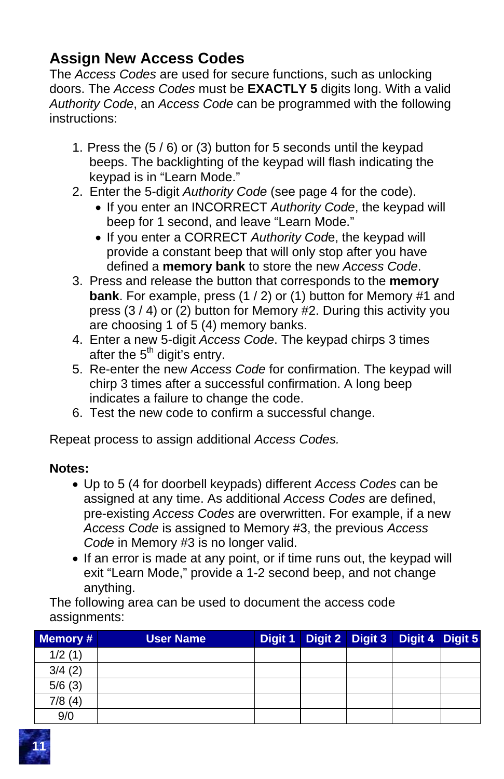## **Assign New Access Codes**

The *Access Codes* are used for secure functions, such as unlocking doors. The *Access Codes* must be **EXACTLY 5** digits long. With a valid *Authority Code*, an *Access Code* can be programmed with the following instructions:

- 1. Press the (5 / 6) or (3) button for 5 seconds until the keypad beeps. The backlighting of the keypad will flash indicating the keypad is in "Learn Mode."
- 2. Enter the 5-digit *Authority Code* (see page 4 for the code).
	- If you enter an INCORRECT *Authority Code*, the keypad will beep for 1 second, and leave "Learn Mode."
	- If you enter a CORRECT *Authority Cod*e, the keypad will provide a constant beep that will only stop after you have defined a **memory bank** to store the new *Access Code*.
- 3. Press and release the button that corresponds to the **memory bank**. For example, press (1 / 2) or (1) button for Memory #1 and press (3 / 4) or (2) button for Memory #2. During this activity you are choosing 1 of 5 (4) memory banks.
- 4. Enter a new 5-digit *Access Code*. The keypad chirps 3 times after the  $5<sup>th</sup>$  digit's entry.
- 5. Re-enter the new *Access Code* for confirmation. The keypad will chirp 3 times after a successful confirmation. A long beep indicates a failure to change the code.
- 6. Test the new code to confirm a successful change.

Repeat process to assign additional *Access Codes.*

#### **Notes:**

- Up to 5 (4 for doorbell keypads) different *Access Codes* can be assigned at any time. As additional *Access Codes* are defined, pre-existing *Access Codes* are overwritten. For example, if a new *Access Code* is assigned to Memory #3, the previous *Access Code* in Memory #3 is no longer valid.
- If an error is made at any point, or if time runs out, the keypad will exit "Learn Mode," provide a 1-2 second beep, and not change anything.

The following area can be used to document the access code assignments:

| Memory # | <b>User Name</b> | Digit 1 | Digit 2 Digit 3 | Digit 4 Digit 5 |  |
|----------|------------------|---------|-----------------|-----------------|--|
| 1/2(1)   |                  |         |                 |                 |  |
| 3/4(2)   |                  |         |                 |                 |  |
| 5/6(3)   |                  |         |                 |                 |  |
| 7/8(4)   |                  |         |                 |                 |  |
| 9/0      |                  |         |                 |                 |  |

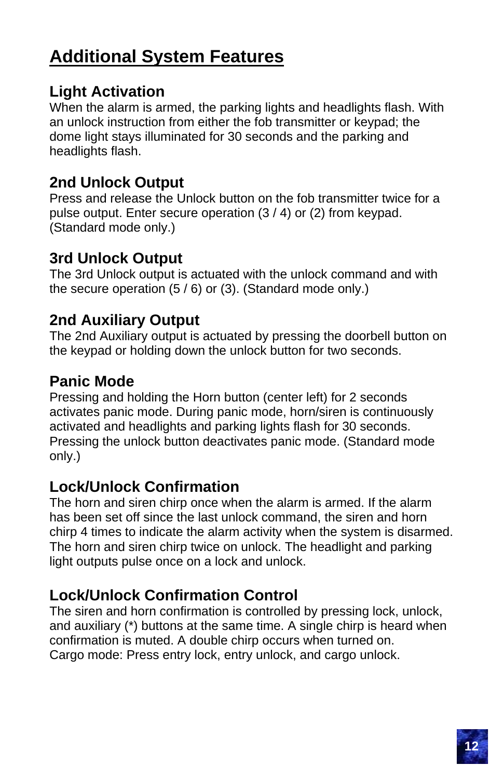# **Additional System Features**

## **Light Activation**

When the alarm is armed, the parking lights and headlights flash. With an unlock instruction from either the fob transmitter or keypad; the dome light stays illuminated for 30 seconds and the parking and headlights flash.

## **2nd Unlock Output**

Press and release the Unlock button on the fob transmitter twice for a pulse output. Enter secure operation (3 / 4) or (2) from keypad. (Standard mode only.)

## **3rd Unlock Output**

The 3rd Unlock output is actuated with the unlock command and with the secure operation (5 / 6) or (3). (Standard mode only.)

### **2nd Auxiliary Output**

The 2nd Auxiliary output is actuated by pressing the doorbell button on the keypad or holding down the unlock button for two seconds.

## **Panic Mode**

Pressing and holding the Horn button (center left) for 2 seconds activates panic mode. During panic mode, horn/siren is continuously activated and headlights and parking lights flash for 30 seconds. Pressing the unlock button deactivates panic mode. (Standard mode only.)

## **Lock/Unlock Confirmation**

The horn and siren chirp once when the alarm is armed. If the alarm has been set off since the last unlock command, the siren and horn chirp 4 times to indicate the alarm activity when the system is disarmed. The horn and siren chirp twice on unlock. The headlight and parking light outputs pulse once on a lock and unlock.

## **Lock/Unlock Confirmation Control**

The siren and horn confirmation is controlled by pressing lock, unlock, and auxiliary (\*) buttons at the same time. A single chirp is heard when confirmation is muted. A double chirp occurs when turned on. Cargo mode: Press entry lock, entry unlock, and cargo unlock.

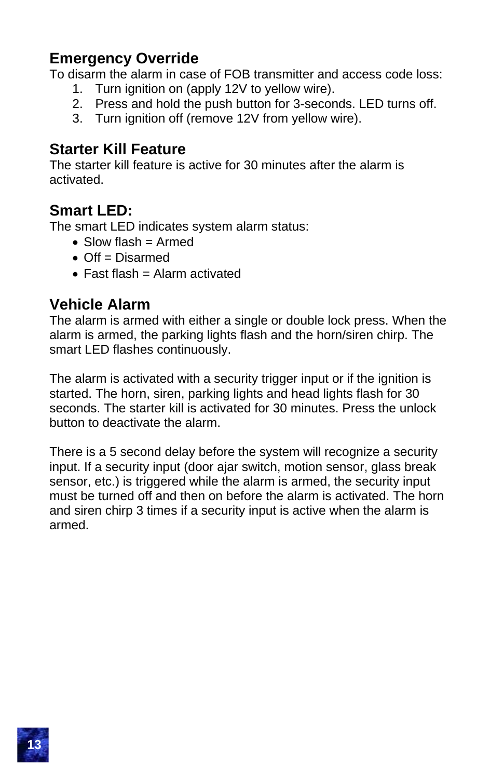### **Emergency Override**

To disarm the alarm in case of FOB transmitter and access code loss:

- 1. Turn ignition on (apply 12V to yellow wire).
- 2. Press and hold the push button for 3-seconds. LED turns off.
- 3. Turn ignition off (remove 12V from yellow wire).

### **Starter Kill Feature**

The starter kill feature is active for 30 minutes after the alarm is activated.

## **Smart LED:**

The smart LED indicates system alarm status:

- $\bullet$  Slow flash = Armed
- $\bullet$  Off = Disarmed
- $\bullet$  Fast flash = Alarm activated

## **Vehicle Alarm**

The alarm is armed with either a single or double lock press. When the alarm is armed, the parking lights flash and the horn/siren chirp. The smart LED flashes continuously.

The alarm is activated with a security trigger input or if the ignition is started. The horn, siren, parking lights and head lights flash for 30 seconds. The starter kill is activated for 30 minutes. Press the unlock button to deactivate the alarm.

There is a 5 second delay before the system will recognize a security input. If a security input (door ajar switch, motion sensor, glass break sensor, etc.) is triggered while the alarm is armed, the security input must be turned off and then on before the alarm is activated. The horn and siren chirp 3 times if a security input is active when the alarm is armed.

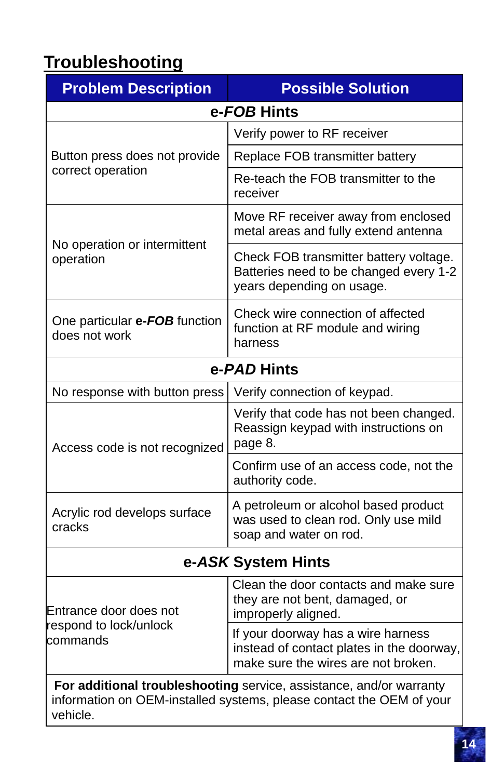# **Troubleshooting**

| <b>Problem Description</b>                     | <b>Possible Solution</b>                                                                                                                    |  |  |
|------------------------------------------------|---------------------------------------------------------------------------------------------------------------------------------------------|--|--|
| e-FOB Hints                                    |                                                                                                                                             |  |  |
|                                                | Verify power to RF receiver                                                                                                                 |  |  |
| Button press does not provide                  | Replace FOB transmitter battery                                                                                                             |  |  |
| correct operation                              | Re-teach the FOB transmitter to the<br>receiver                                                                                             |  |  |
|                                                | Move RF receiver away from enclosed<br>metal areas and fully extend antenna                                                                 |  |  |
| No operation or intermittent<br>operation      | Check FOB transmitter battery voltage.<br>Batteries need to be changed every 1-2<br>years depending on usage.                               |  |  |
| One particular e-FOB function<br>does not work | Check wire connection of affected<br>function at RF module and wiring<br>harness                                                            |  |  |
|                                                | e-PAD Hints                                                                                                                                 |  |  |
| No response with button press                  | Verify connection of keypad.                                                                                                                |  |  |
| Access code is not recognized                  | Verify that code has not been changed.<br>Reassign keypad with instructions on<br>page 8.                                                   |  |  |
|                                                | Confirm use of an access code, not the<br>authority code.                                                                                   |  |  |
| Acrylic rod develops surface<br>cracks         | A petroleum or alcohol based product<br>was used to clean rod. Only use mild<br>soap and water on rod.                                      |  |  |
|                                                | e-ASK System Hints                                                                                                                          |  |  |
| Entrance door does not                         | Clean the door contacts and make sure<br>they are not bent, damaged, or<br>improperly aligned.                                              |  |  |
| respond to lock/unlock<br>commands             | If your doorway has a wire harness<br>instead of contact plates in the doorway,<br>make sure the wires are not broken.                      |  |  |
| vehicle.                                       | For additional troubleshooting service, assistance, and/or warranty<br>information on OEM-installed systems, please contact the OEM of your |  |  |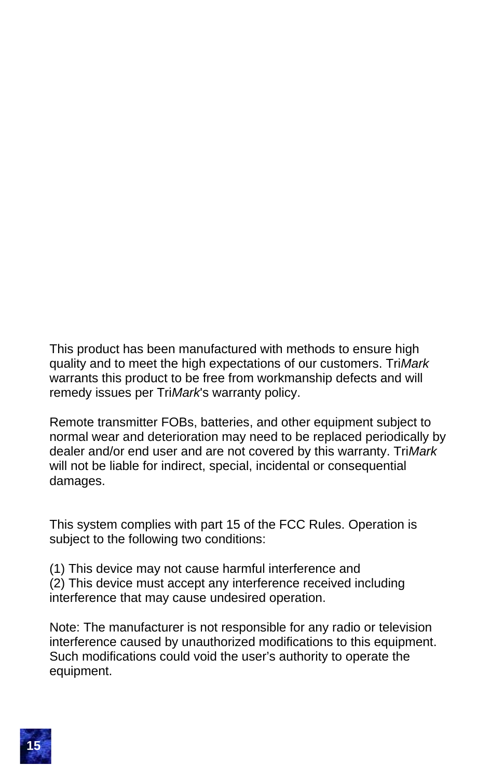This product has been manufactured with methods to ensure high quality and to meet the high expectations of our customers. Tri*Mark* warrants this product to be free from workmanship defects and will remedy issues per Tri*Mark*'s warranty policy.

Remote transmitter FOBs, batteries, and other equipment subject to normal wear and deterioration may need to be replaced periodically by dealer and/or end user and are not covered by this warranty. Tri*Mark* will not be liable for indirect, special, incidental or consequential damages.

This system complies with part 15 of the FCC Rules. Operation is subject to the following two conditions:

(1) This device may not cause harmful interference and (2) This device must accept any interference received including interference that may cause undesired operation.

Note: The manufacturer is not responsible for any radio or television interference caused by unauthorized modifications to this equipment. Such modifications could void the user's authority to operate the equipment.